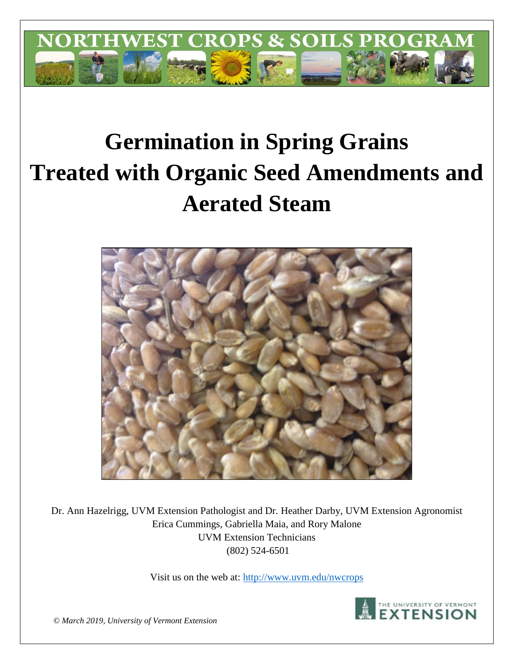

# **Germination in Spring Grains Treated with Organic Seed Amendments and Aerated Steam**



Dr. Ann Hazelrigg, UVM Extension Pathologist and Dr. Heather Darby, UVM Extension Agronomist Erica Cummings, Gabriella Maia, and Rory Malone UVM Extension Technicians (802) 524-6501

Visit us on the web at:<http://www.uvm.edu/nwcrops>



*© March 2019, University of Vermont Extension*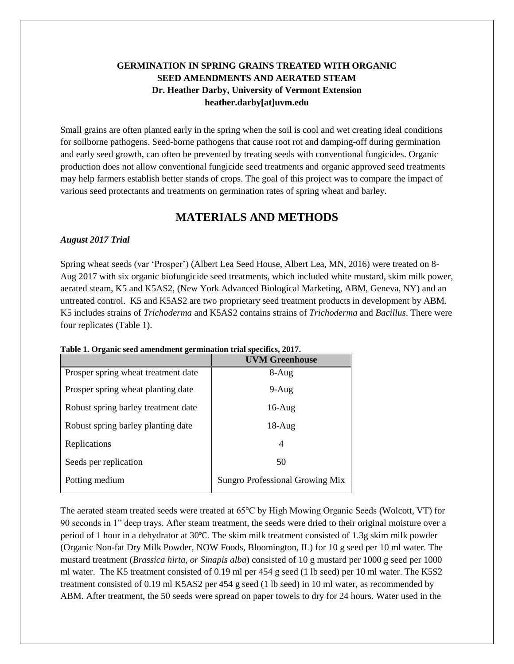## **GERMINATION IN SPRING GRAINS TREATED WITH ORGANIC SEED AMENDMENTS AND AERATED STEAM Dr. Heather Darby, University of Vermont Extension heather.darby[at]uvm.edu**

Small grains are often planted early in the spring when the soil is cool and wet creating ideal conditions for soilborne pathogens. Seed-borne pathogens that cause root rot and damping-off during germination and early seed growth, can often be prevented by treating seeds with conventional fungicides. Organic production does not allow conventional fungicide seed treatments and organic approved seed treatments may help farmers establish better stands of crops. The goal of this project was to compare the impact of various seed protectants and treatments on germination rates of spring wheat and barley.

# **MATERIALS AND METHODS**

#### *August 2017 Trial*

Spring wheat seeds (var 'Prosper') (Albert Lea Seed House, Albert Lea, MN, 2016) were treated on 8- Aug 2017 with six organic biofungicide seed treatments, which included white mustard, skim milk power, aerated steam, K5 and K5AS2, (New York Advanced Biological Marketing, ABM, Geneva, NY) and an untreated control. K5 and K5AS2 are two proprietary seed treatment products in development by ABM. K5 includes strains of *Trichoderma* and K5AS2 contains strains of *Trichoderma* and *Bacillus*. There were four replicates (Table 1).

|                                     | <b>UVM Greenhouse</b>                  |
|-------------------------------------|----------------------------------------|
| Prosper spring wheat treatment date | $8-Aug$                                |
| Prosper spring wheat planting date  | $9-Aug$                                |
| Robust spring barley treatment date | $16$ -Aug                              |
| Robust spring barley planting date  | $18-Aug$                               |
| Replications                        | 4                                      |
| Seeds per replication               | 50                                     |
| Potting medium                      | <b>Sungro Professional Growing Mix</b> |

**Table 1. Organic seed amendment germination trial specifics, 2017.** 

The aerated steam treated seeds were treated at 65℃ by High Mowing Organic Seeds (Wolcott, VT) for 90 seconds in 1" deep trays. After steam treatment, the seeds were dried to their original moisture over a period of 1 hour in a dehydrator at 30℃. The skim milk treatment consisted of 1.3g skim milk powder (Organic Non-fat Dry Milk Powder, NOW Foods, Bloomington, IL) for 10 g seed per 10 ml water. The mustard treatment (*Brassica hirta, or Sinapis alba*) consisted of 10 g mustard per 1000 g seed per 1000 ml water. The K5 treatment consisted of 0.19 ml per 454 g seed (1 lb seed) per 10 ml water. The K5S2 treatment consisted of 0.19 ml K5AS2 per 454 g seed (1 lb seed) in 10 ml water, as recommended by ABM. After treatment, the 50 seeds were spread on paper towels to dry for 24 hours. Water used in the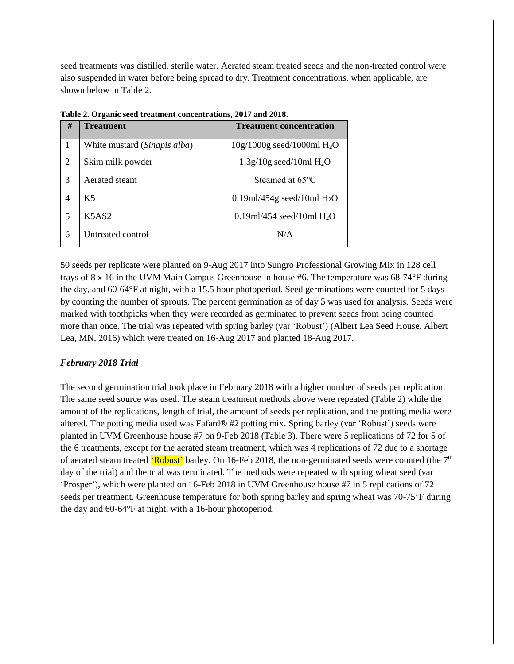seed treatments was distilled, sterile water. Aerated steam treated seeds and the non-treated control were also suspended in water before being spread to dry. Treatment concentrations, when applicable, are shown below in Table 2.

| #              | <b>Treatment</b>             | <b>Treatment concentration</b> |
|----------------|------------------------------|--------------------------------|
| 1              | White mustard (Sinapis alba) | $10g/1000g$ seed/1000ml $H_2O$ |
| $\overline{2}$ | Skim milk powder             | $1.3g/10g$ seed/10ml $H2O$     |
| 3              | Aerated steam                | Steamed at 65°C                |
| 4              | K <sub>5</sub>               | 0.19ml/454g seed/10ml $H_2O$   |
| 5              | K5AS2                        | 0.19ml/454 seed/10ml $H_2O$    |
| 6              | Untreated control            | N/A                            |

**Table 2. Organic seed treatment concentrations, 2017 and 2018.** 

50 seeds per replicate were planted on 9-Aug 2017 into Sungro Professional Growing Mix in 128 cell trays of 8 x 16 in the UVM Main Campus Greenhouse in house #6. The temperature was 68-74°F during the day, and 60-64°F at night, with a 15.5 hour photoperiod. Seed germinations were counted for 5 days by counting the number of sprouts. The percent germination as of day 5 was used for analysis. Seeds were marked with toothpicks when they were recorded as germinated to prevent seeds from being counted more than once. The trial was repeated with spring barley (var 'Robust') (Albert Lea Seed House, Albert Lea, MN, 2016) which were treated on 16-Aug 2017 and planted 18-Aug 2017.

### *February 2018 Trial*

The second germination trial took place in February 2018 with a higher number of seeds per replication. The same seed source was used. The steam treatment methods above were repeated (Table 2) while the amount of the replications, length of trial, the amount of seeds per replication, and the potting media were altered. The potting media used was Fafard® #2 potting mix. Spring barley (var 'Robust') seeds were planted in UVM Greenhouse house #7 on 9-Feb 2018 (Table 3). There were 5 replications of 72 for 5 of the 6 treatments, except for the aerated steam treatment, which was 4 replications of 72 due to a shortage of aerated steam treated 'Robust' barley. On 16-Feb 2018, the non-germinated seeds were counted (the 7<sup>th</sup> day of the trial) and the trial was terminated. The methods were repeated with spring wheat seed (var 'Prosper'), which were planted on 16-Feb 2018 in UVM Greenhouse house #7 in 5 replications of 72 seeds per treatment. Greenhouse temperature for both spring barley and spring wheat was 70-75°F during the day and 60-64°F at night, with a 16-hour photoperiod.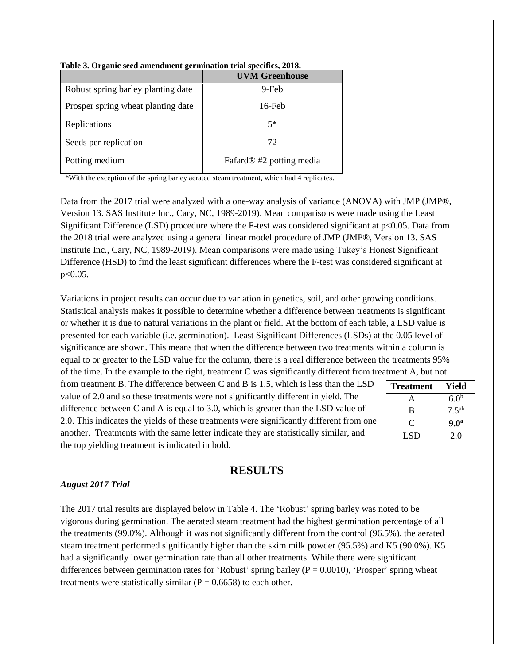|                                    | <b>UVM Greenhouse</b>                |
|------------------------------------|--------------------------------------|
| Robust spring barley planting date | 9-Feb                                |
| Prosper spring wheat planting date | $16$ -Feb                            |
| Replications                       | $5*$                                 |
| Seeds per replication              | 72                                   |
| Potting medium                     | Fafard <sup>®</sup> #2 potting media |

**Table 3. Organic seed amendment germination trial specifics, 2018.** 

\*With the exception of the spring barley aerated steam treatment, which had 4 replicates.

Data from the 2017 trial were analyzed with a one-way analysis of variance (ANOVA) with JMP (JMP®, Version 13. SAS Institute Inc., Cary, NC, 1989-2019). Mean comparisons were made using the Least Significant Difference (LSD) procedure where the F-test was considered significant at p<0.05. Data from the 2018 trial were analyzed using a general linear model procedure of JMP (JMP®, Version 13. SAS Institute Inc., Cary, NC, 1989-2019). Mean comparisons were made using Tukey's Honest Significant Difference (HSD) to find the least significant differences where the F-test was considered significant at p<0.05.

Variations in project results can occur due to variation in genetics, soil, and other growing conditions. Statistical analysis makes it possible to determine whether a difference between treatments is significant or whether it is due to natural variations in the plant or field. At the bottom of each table, a LSD value is presented for each variable (i.e. germination). Least Significant Differences (LSDs) at the 0.05 level of significance are shown. This means that when the difference between two treatments within a column is equal to or greater to the LSD value for the column, there is a real difference between the treatments 95% of the time. In the example to the right, treatment C was significantly different from treatment A, but not

from treatment B. The difference between C and B is 1.5, which is less than the LSD value of 2.0 and so these treatments were not significantly different in yield. The difference between C and A is equal to 3.0, which is greater than the LSD value of 2.0. This indicates the yields of these treatments were significantly different from one another. Treatments with the same letter indicate they are statistically similar, and the top yielding treatment is indicated in bold.

| <b>Treatment</b> | Yield             |
|------------------|-------------------|
| А                | 6.0 <sup>b</sup>  |
| B                | 7.5 <sup>ab</sup> |
| C                | 9.0 <sup>a</sup>  |
| LSD.             | 20                |

## **RESULTS**

#### *August 2017 Trial*

The 2017 trial results are displayed below in Table 4. The 'Robust' spring barley was noted to be vigorous during germination. The aerated steam treatment had the highest germination percentage of all the treatments (99.0%). Although it was not significantly different from the control (96.5%), the aerated steam treatment performed significantly higher than the skim milk powder (95.5%) and K5 (90.0%)*.* K5 had a significantly lower germination rate than all other treatments. While there were significant differences between germination rates for 'Robust' spring barley ( $P = 0.0010$ ), 'Prosper' spring wheat treatments were statistically similar ( $P = 0.6658$ ) to each other.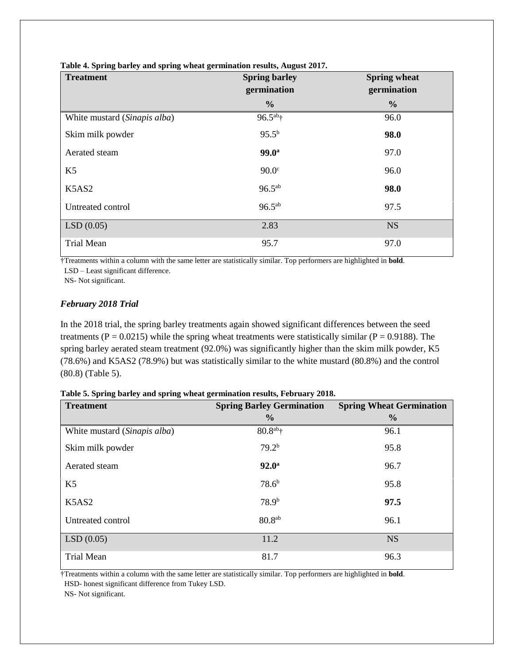| <b>Treatment</b>             | <b>Spring barley</b><br>germination | <b>Spring wheat</b><br>germination |
|------------------------------|-------------------------------------|------------------------------------|
|                              | $\frac{0}{0}$                       | $\frac{0}{0}$                      |
| White mustard (Sinapis alba) | $96.5^{ab}$ †                       | 96.0                               |
| Skim milk powder             | $95.5^{b}$                          | 98.0                               |
| Aerated steam                | $99.0^{\rm a}$                      | 97.0                               |
| K <sub>5</sub>               | 90.0 <sup>c</sup>                   | 96.0                               |
| K5AS2                        | $96.5^{ab}$                         | 98.0                               |
| Untreated control            | $96.5^{ab}$                         | 97.5                               |
| LSD(0.05)                    | 2.83                                | <b>NS</b>                          |
| <b>Trial Mean</b>            | 95.7                                | 97.0                               |

**Table 4. Spring barley and spring wheat germination results, August 2017.**

†Treatments within a column with the same letter are statistically similar. Top performers are highlighted in **bold**.

LSD – Least significant difference.

NS- Not significant.

## *February 2018 Trial*

In the 2018 trial, the spring barley treatments again showed significant differences between the seed treatments ( $P = 0.0215$ ) while the spring wheat treatments were statistically similar ( $P = 0.9188$ ). The spring barley aerated steam treatment (92.0%) was significantly higher than the skim milk powder, K5 (78.6%) and K5AS2 (78.9%) but was statistically similar to the white mustard (80.8%) and the control (80.8) (Table 5).

|  |  | Table 5. Spring barley and spring wheat germination results, February 2018. |  |  |
|--|--|-----------------------------------------------------------------------------|--|--|
|  |  |                                                                             |  |  |
|  |  |                                                                             |  |  |

| <b>Treatment</b>             | <b>Spring Barley Germination</b> | <b>Spring Wheat Germination</b> |  |
|------------------------------|----------------------------------|---------------------------------|--|
|                              | $\frac{0}{0}$                    | $\frac{6}{9}$                   |  |
| White mustard (Sinapis alba) | $80.8^{ab}$ †                    | 96.1                            |  |
| Skim milk powder             | 79.2 <sup>b</sup>                | 95.8                            |  |
| Aerated steam                | $92.0^{\rm a}$                   | 96.7                            |  |
| K <sub>5</sub>               | 78.6 <sup>b</sup>                | 95.8                            |  |
| K5AS2                        | 78.9 <sup>b</sup>                | 97.5                            |  |
| Untreated control            | 80.8 <sup>ab</sup>               | 96.1                            |  |
| LSD(0.05)                    | 11.2                             | <b>NS</b>                       |  |
| <b>Trial Mean</b>            | 81.7                             | 96.3                            |  |

†Treatments within a column with the same letter are statistically similar. Top performers are highlighted in **bold**. HSD- honest significant difference from Tukey LSD.

NS- Not significant.